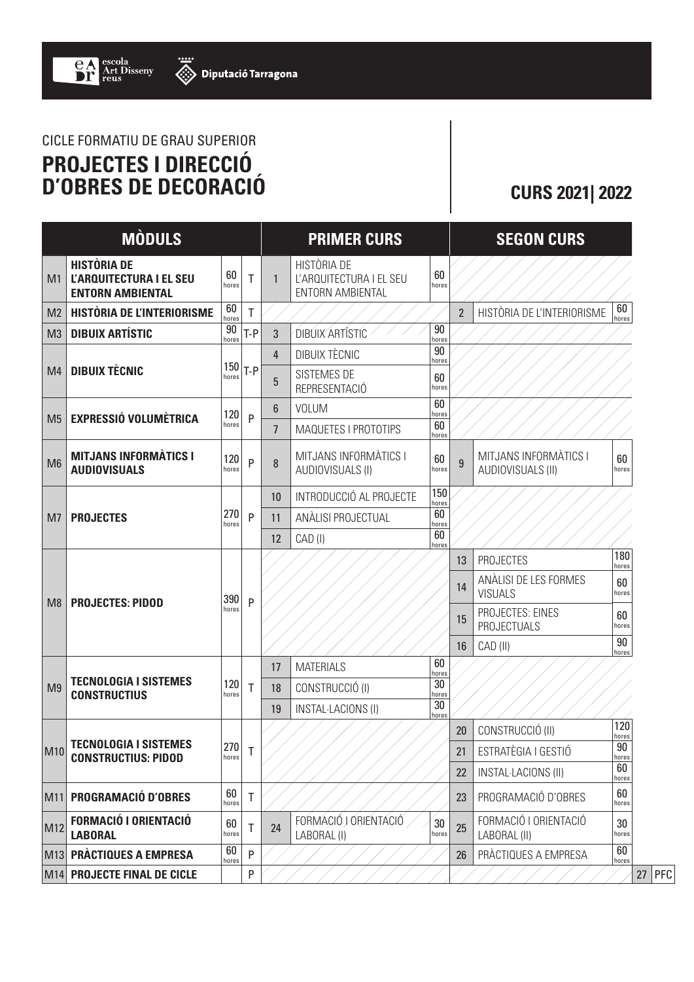## CICLE FORMATIU DE GRAU SUPERIOR **PROJECTES I DIRECCIÓ D'OBRES DE DECORACIÓ CURS 2021| 2022**

|                | <b>MÒDULS</b>                                                                   |              |              |                | <b>PRIMER CURS</b>                                                       |              |                | <b>SEGON CURS</b>                          |              |
|----------------|---------------------------------------------------------------------------------|--------------|--------------|----------------|--------------------------------------------------------------------------|--------------|----------------|--------------------------------------------|--------------|
| M <sub>1</sub> | <b>HISTÒRIA DE</b><br><b>L'ARQUITECTURA I EL SEU</b><br><b>ENTORN AMBIENTAL</b> | 60<br>hores  | T            | $\mathbf{1}$   | <b>HISTÒRIA DE</b><br>L'ARQUITECTURA I EL SEU<br><b>ENTORN AMBIENTAL</b> | 60<br>hores  |                |                                            |              |
| M <sub>2</sub> | <b>HISTÒRIA DE L'INTERIORISME</b>                                               | 60<br>hores  | T            |                |                                                                          |              | $\overline{2}$ | HISTÒRIA DE L'INTERIORISME                 | 60<br>hores  |
| M <sub>3</sub> | <b>DIBUIX ARTÍSTIC</b>                                                          | 90<br>hores  | $T-P$        | 3              | DIBUIX ARTÍSTÍC                                                          | 90<br>hores  |                |                                            |              |
|                |                                                                                 | hores        | $150 T-P$    | 4              | DIBUIX TÈCNIC                                                            | 90<br>hores  |                |                                            |              |
| M <sub>4</sub> | <b>DIBUIX TÈCNIC</b>                                                            |              |              | 5              | SISTEMES DE<br>REPRESENTACIÓ                                             | 60<br>hores  |                |                                            |              |
| M <sub>5</sub> | <b>EXPRESSIÓ VOLUMÈTRICA</b>                                                    | 120<br>hores | P            | 6              | <b>VOLUM</b>                                                             | 60<br>hores  |                |                                            |              |
|                |                                                                                 |              |              | $\overline{7}$ | MAQUETES I PROTOTIPS                                                     | 60<br>hores  |                |                                            |              |
| M <sub>6</sub> | <b>MITJANS INFORMATICS I</b><br><b>AUDIOVISUALS</b>                             | 120<br>hores | P            | 8              | MITJANS INFORMATICS I<br>AUDIOVISUALS (I)                                | 60<br>hores  | 9              | MITJANS INFORMATICS I<br>AUDIOVISUALS (II) | 60<br>hores  |
| M <sub>7</sub> | <b>PROJECTES</b>                                                                | 270<br>hores | P            | 10             | INTRODUCCIÓ AL PROJECTE                                                  | 150<br>hores |                |                                            |              |
|                |                                                                                 |              |              | 11             | ANÀLISI PROJECTUAL                                                       | 60<br>hores  |                |                                            |              |
|                |                                                                                 |              |              | 12             | CAD (I)                                                                  | 60<br>hores  |                |                                            |              |
| M <sub>8</sub> | <b>PROJECTES: PIDOD</b>                                                         | 390<br>hores | P            |                |                                                                          |              | 13             | <b>PROJECTES</b>                           | 180<br>hores |
|                |                                                                                 |              |              |                |                                                                          |              | 14             | ANÀLISI DE LES FORMES<br><b>VISUALS</b>    | 60<br>hores  |
|                |                                                                                 |              |              |                |                                                                          |              | 15             | PROJECTES: EINES<br><b>PROJECTUALS</b>     | 60<br>hores  |
|                |                                                                                 |              |              |                |                                                                          |              | 16             | CAD (II)                                   | 90<br>hores  |
| M <sub>9</sub> | <b>TECNOLOGIA I SISTEMES</b><br><b>CONSTRUCTIUS</b>                             | 120<br>hores | T            | 17             | <b>MATERIALS</b>                                                         | 60<br>hores  |                |                                            |              |
|                |                                                                                 |              |              | 18             | CONSTRUCCIÓ (I)                                                          | 30<br>hores  |                |                                            |              |
|                |                                                                                 |              |              | 19             | <b>INSTAL-LACIONS (I)</b>                                                | 30<br>hores  |                |                                            |              |
| M10            | <b>TECNOLOGIA I SISTEMES</b><br><b>CONSTRUCTIUS: PIDOD</b>                      | 270<br>hores | Τ            |                |                                                                          |              | 20             | CONSTRUCCIÓ (II)                           | 120<br>hores |
|                |                                                                                 |              |              |                |                                                                          |              | 21             | ESTRATÈGIA I GESTIÓ                        | 90<br>hores  |
|                |                                                                                 |              |              |                |                                                                          |              | 22             | <b>INSTAL-LACIONS (II)</b>                 | 60<br>hores  |
|                | M11 PROGRAMACIÓ D'OBRES                                                         | 60<br>hores  | $\mathsf{T}$ |                |                                                                          |              | 23             | PROGRAMACIÓ D'OBRES                        | 60<br>hores  |
| M12            | <b>FORMACIÓ I ORIENTACIÓ</b><br><b>LABORAL</b>                                  | 60<br>hores  | Τ            | 24             | FORMACIÓ JORIENTACIÓ<br>LABORAL (I)                                      | 30<br>hores  | 25             | FORMACIÓ I ORIENTACIÓ<br>LABORAL (II)      | 30<br>hores  |
|                | M13 PRACTIQUES A EMPRESA                                                        | 60<br>hores  | $\mathsf{P}$ |                |                                                                          |              | 26             | PRÀCTIQUES A EMPRESA                       | 60<br>hores  |
|                | M14 PROJECTE FINAL DE CICLE                                                     |              | P            |                |                                                                          |              |                |                                            |              |